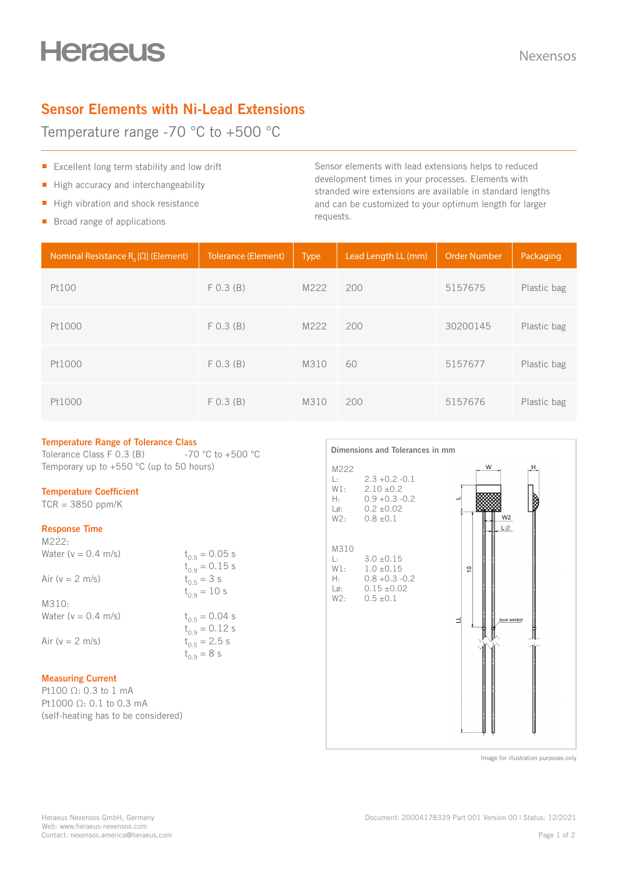# **Heraeus**

# **Sensor Elements with Ni-Lead Extensions**

Temperature range -70 °C to +500 °C

- Excellent long term stability and low drift
- High accuracy and interchangeability
- High vibration and shock resistance
- Broad range of applications

Sensor elements with lead extensions helps to reduced development times in your processes. Elements with stranded wire extensions are available in standard lengths and can be customized to your optimum length for larger requests.

| Nominal Resistance $R_0[\Omega]$ (Element) | <b>Tolerance (Element)</b> | <b>Type</b> | Lead Length LL (mm) | <b>Order Number</b> | Packaging   |
|--------------------------------------------|----------------------------|-------------|---------------------|---------------------|-------------|
| Pt100                                      | $F$ 0.3 (B)                | M222        | 200                 | 5157675             | Plastic bag |
| Pt1000                                     | $F$ 0.3 (B)                | M222        | 200                 | 30200145            | Plastic bag |
| Pt1000                                     | F(0.3 (B))                 | M310        | 60                  | 5157677             | Plastic bag |
| Pt1000                                     | F(0.3 (B))                 | M310        | 200                 | 5157676             | Plastic bag |

## **Temperature Range of Tolerance Class**

Tolerance Class F 0.3 (B)  $-70 °C$  to +500 °C Temporary up to +550 °C (up to 50 hours)

## **Temperature Coefficient**

 $TCR = 3850$  ppm/K

#### **Response Time**  $M222$

| $IVZZZ$ :              |                    |
|------------------------|--------------------|
| Water ( $v = 0.4$ m/s) | $t_{0.5} = 0.05$ s |
|                        | $t_{0.9} = 0.15$ s |
| Air ( $v = 2$ m/s)     | $t_{0.5}$ = 3 s    |
|                        | $t_{0.9} = 10$ s   |
| M310:                  |                    |
| Water ( $v = 0.4$ m/s) | $t_{0.5} = 0.04$ s |
|                        | $t_{0.9} = 0.12$ s |
| Air ( $v = 2$ m/s)     | $t_{0.5}$ = 2.5 s  |
|                        | $t_{0.9} = 8$ s    |
|                        |                    |

### **Measuring Current**

Pt100 Ω: 0.3 to 1 mA Pt1000 Ω: 0.1 to 0.3 mA (self-heating has to be considered)



Image for illustration purposes only